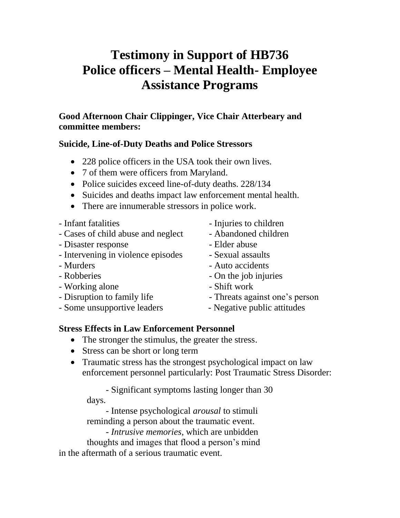## **Testimony in Support of HB736 Police officers – Mental Health- Employee Assistance Programs**

## **Good Afternoon Chair Clippinger, Vice Chair Atterbeary and committee members:**

## **Suicide, Line-of-Duty Deaths and Police Stressors**

- 228 police officers in the USA took their own lives.
- 7 of them were officers from Maryland.
- Police suicides exceed line-of-duty deaths. 228/134
- Suicides and deaths impact law enforcement mental health.
- There are innumerable stressors in police work.
- 
- Cases of child abuse and neglect Abandoned children
- Disaster response Elder abuse
- Intervening in violence episodes Sexual assaults
- 
- 
- Working alone  **Shift** work
- 
- Some unsupportive leaders Negative public attitudes
- Infant fatalities  **Injuries to children** 
	-
	-
	-
- Murders Auto accidents
- Robberies On the job injuries
	-
- Disruption to family life Threats against one's person
	-

## **Stress Effects in Law Enforcement Personnel**

- The stronger the stimulus, the greater the stress.
- Stress can be short or long term
- Traumatic stress has the strongest psychological impact on law enforcement personnel particularly: Post Traumatic Stress Disorder:

- Significant symptoms lasting longer than 30 days.

- Intense psychological *arousal* to stimuli reminding a person about the traumatic event.

- *Intrusive memories*, which are unbidden

 thoughts and images that flood a person's mind in the aftermath of a serious traumatic event.